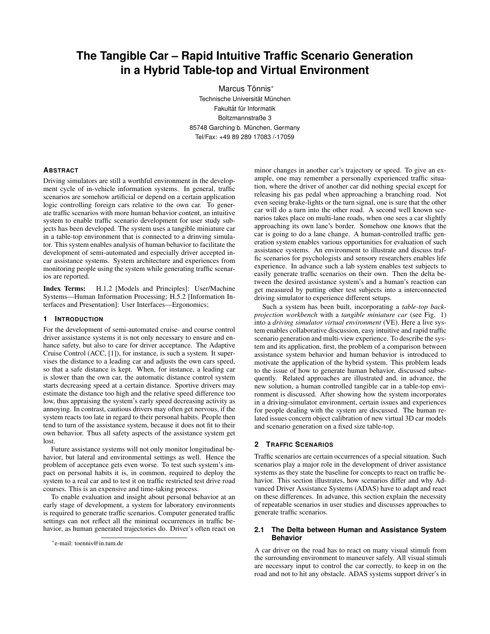# **The Tangible Car – Rapid Intuitive Traffic Scenario Generation in a Hybrid Table-top and Virtual Environment**

Marcus Tönnis<sup>\*</sup> Technische Universität München Fakultät für Informatik Boltzmannstraße 3 85748 Garching b. München, Germany Tel/Fax: +49 89 289 17083 /-17059

## **ABSTRACT**

Driving simulators are still a worthful environment in the development cycle of in-vehicle information systems. In general, traffic scenarios are somehow artificial or depend on a certain application logic controlling foreign cars relative to the own car. To generate traffic scenarios with more human behavior content, an intuitive system to enable traffic scenario development for user study subjects has been developed. The system uses a tangible miniature car in a table-top environment that is connected to a drinving simulator. This system enables analysis of human behavior to facilitate the development of semi-automated and especially driver accepted incar assistance systems. System architecture and experiences from monitoring people using the system while generating traffic scenarios are reported.

Index Terms: H.1.2 [Models and Principles]: User/Machine Systems—Human Information Processing; H.5.2 [Information Interfaces and Presentation]: User Interfaces—Ergonomics;

### **1 INTRODUCTION**

For the development of semi-automated cruise- and course control driver assistance systems it is not only necessary to ensure and enhance safety, but also to care for driver acceptance. The Adaptive Cruise Control (ACC, [1]), for instance, is such a system. It supervises the distance to a leading car and adjusts the own cars speed, so that a safe distance is kept. When, for instance, a leading car is slower than the own car, the automatic distance control system starts decreasing speed at a certain distance. Sportive drivers may estimate the distance too high and the relative speed difference too low, thus appraising the system's early speed decreasing activity as annoying. In contrast, cautious drivers may often get nervous, if the system reacts too late in regard to their personal habits. People then tend to turn of the assistance system, because it does not fit to their own behavior. Thus all safety aspects of the assistance system get lost.

Future assistance systems will not only monitor longitudinal behavior, but lateral and environmental settings as well. Hence the problem of acceptance gets even worse. To test such system's impact on personal habits it is, in common, required to deploy the system to a real car and to test it on traffic restricted test drive road courses. This is an expensive and time-taking process.

To enable evaluation and insight about personal behavior at an early stage of development, a system for laboratory environments is required to generate traffic scenarios. Computer generated traffic settings can not reflect all the minimal occurrences in traffic behavior, as human generated trajectories do. Driver's often react on

minor changes in another car's trajectory or speed. To give an example, one may remember a personally experienced traffic situation, where the driver of another car did nothing special except for releasing his gas pedal when approaching a branching road. Not even seeing brake-lights or the turn signal, one is sure that the other car will do a turn into the other road. A second well known scenarios takes place on multi-lane roads, when one sees a car slightly approaching its own lane's border. Somehow one knows that the car is going to do a lane change. A human-controlled traffic generation system enables various opportunities for evaluation of such assistance systems. An environment to illustrate and discuss traffic scenarios for psychologists and sensory researchers enables life experience. In advance such a lab system enables test subjects to easily generate traffic scenarios on their own. Then the delta between the desired assistance system's and a human's reaction can get measured by putting other test subjects into a interconnected driving simulator to experience different setups.

Such a system has been built, incorporating a *table-top backprojection workbench* with a *tangible miniature car* (see Fig. 1) into a *driving simulator virtual environment* (VE). Here a live system enables collaborative discussion, easy intuitive and rapid traffic scenario generation and multi-view experience. To describe the system and its application, first, the problem of a comparison between assistance system behavior and human behavior is introduced to motivate the application of the hybrid system. This problem leads to the issue of how to generate human behavior, discussed subsequently. Related approaches are illustrated and, in advance, the new solution, a human controlled tangible car in a table-top environment is discussed. After showing how the system incorporates in a driving-simulator environment, certain issues and experiences for people dealing with the system are discussed. The human related issues concern object calibration of new virtual 3D car models and scenario generation on a fixed size table-top.

## **2 TRAFFIC SCENARIOS**

Traffic scenarios are certain occurrences of a special situation. Such scenarios play a major role in the development of driver assistance systems as they state the baseline for concepts to react on traffic behavior. This section illustrates, how scenarios differ and why Advanced Driver Assistance Systems (ADAS) have to adapt and react on these differences. In advance, this section explain the necessity of repeatable scenarios in user studies and discusses approaches to generate traffic scenarios.

## **2.1 The Delta between Human and Assistance System Behavior**

A car driver on the road has to react on many visual stimuli from the surrounding environment to maneuver safely. All visual stimuli are necessary input to control the car correctly, to keep in on the road and not to hit any obstacle. ADAS systems support driver's in

<sup>∗</sup> e-mail: toennis@in.tum.de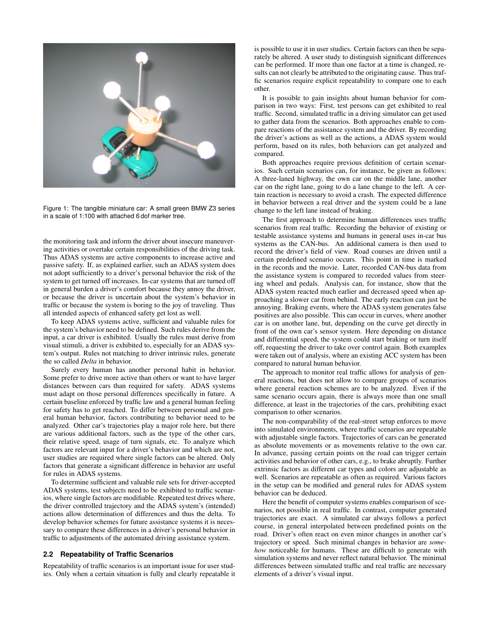

Figure 1: The tangible miniature car: A small green BMW Z3 series in a scale of 1:100 with attached 6 dof marker tree.

the monitoring task and inform the driver about insecure maneuvering activities or overtake certain responsibilities of the driving task. Thus ADAS systems are active components to increase active and passive safety. If, as explained earlier, such an ADAS system does not adopt sufficiently to a driver's personal behavior the risk of the system to get turned off increases. In-car systems that are turned off in general burden a driver's comfort because they annoy the driver, or because the driver is uncertain about the system's behavior in traffic or because the system is boring to the joy of traveling. Thus all intended aspects of enhanced safety get lost as well.

To keep ADAS systems active, sufficient and valuable rules for the system's behavior need to be defined. Such rules derive from the input, a car driver is exhibited. Usually the rules must derive from visual stimuli, a driver is exhibited to, especially for an ADAS system's output. Rules not matching to driver intrinsic rules, generate the so called *Delta* in behavior.

Surely every human has another personal habit in behavior. Some prefer to drive more active than others or want to have larger distances between cars than required for safety. ADAS systems must adapt on those personal differences specifically in future. A certain baseline enforced by traffic law and a general human feeling for safety has to get reached. To differ between personal and general human behavior, factors contributing to behavior need to be analyzed. Other car's trajectories play a major role here, but there are various additional factors, such as the type of the other cars, their relative speed, usage of turn signals, etc. To analyze which factors are relevant input for a driver's behavior and which are not, user studies are required where single factors can be altered. Only factors that generate a significant difference in behavior are useful for rules in ADAS systems.

To determine sufficient and valuable rule sets for driver-accepted ADAS systems, test subjects need to be exhibited to traffic scenarios, where single factors are modifiable. Repeated test drives where, the driver controlled trajectory and the ADAS system's (intended) actions allow determination of differences and thus the delta. To develop behavior schemes for future assistance systems it is necessary to compare these differences in a driver's personal behavior in traffic to adjustments of the automated driving assistance system.

## **2.2 Repeatability of Traffic Scenarios**

Repeatability of traffic scenarios is an important issue for user studies. Only when a certain situation is fully and clearly repeatable it is possible to use it in user studies. Certain factors can then be separately be altered. A user study to distinguish significant differences can be performed. If more than one factor at a time is changed, results can not clearly be attributed to the originating cause. Thus traffic scenarios require explicit repeatability to compare one to each other.

It is possible to gain insights about human behavior for comparison in two ways: First, test persons can get exhibited to real traffic. Second, simulated traffic in a driving simulator can get used to gather data from the scenarios. Both approaches enable to compare reactions of the assistance system and the driver. By recording the driver's actions as well as the actions, a ADAS system would perform, based on its rules, both behaviors can get analyzed and compared.

Both approaches require previous definition of certain scenarios. Such certain scenarios can, for instance, be given as follows: A three-laned highway, the own car on the middle lane, another car on the right lane, going to do a lane change to the left. A certain reaction is necessary to avoid a crash. The expected difference in behavior between a real driver and the system could be a lane change to the left lane instead of braking.

The first approach to determine human differences uses traffic scenarios from real traffic. Recording the behavior of existing or testable assistance systems and humans in general uses in-car bus systems as the CAN-bus. An additional camera is then used to record the driver's field of view. Road courses are driven until a certain predefined scenario occurs. This point in time is marked in the records and the movie. Later, recorded CAN-bus data from the assistance system is compared to recorded values from steering wheel and pedals. Analysis can, for instance, show that the ADAS system reacted much earlier and decreased speed when approaching a slower car from behind. The early reaction can just be annoying. Braking events, where the ADAS system generates false positives are also possible. This can occur in curves, where another car is on another lane, but, depending on the curve get directly in front of the own car's sensor system. Here depending on distance and differential speed, the system could start braking or turn itself off, requesting the driver to take over control again. Both examples were taken out of analysis, where an existing ACC system has been compared to natural human behavior.

The approach to monitor real traffic allows for analysis of general reactions, but does not allow to compare groups of scenarios where general reaction schemes are to be analyzed. Even if the same scenario occurs again, there is always more than one small difference, at least in the trajectories of the cars, prohibiting exact comparison to other scenarios.

The non-comparability of the real-street setup enforces to move into simulated environments, where traffic scenarios are repeatable with adjustable single factors. Trajectories of cars can be generated as absolute movements or as movements relative to the own car. In advance, passing certain points on the road can trigger certain activities and behavior of other cars, e.g., to brake abruptly. Further extrinsic factors as different car types and colors are adjustable as well. Scenarios are repeatable as often as required. Various factors in the setup can be modified and general rules for ADAS system behavior can be deduced.

Here the benefit of computer systems enables comparison of scenarios, not possible in real traffic. In contrast, computer generated trajectories are exact. A simulated car always follows a perfect course, in general interpolated between predefined points on the road. Driver's often react on even minor changes in another car's trajectory or speed. Such minimal changes in behavior are *somehow* noticeable for humans. These are difficult to generate with simulation systems and never reflect natural behavior. The minimal differences between simulated traffic and real traffic are necessary elements of a driver's visual input.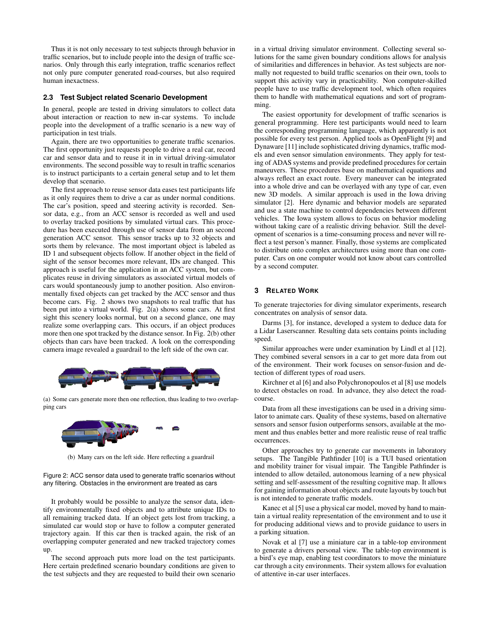Thus it is not only necessary to test subjects through behavior in traffic scenarios, but to include people into the design of traffic scenarios. Only through this early integration, traffic scenarios reflect not only pure computer generated road-courses, but also required human inexactness.

## **2.3 Test Subject related Scenario Development**

In general, people are tested in driving simulators to collect data about interaction or reaction to new in-car systems. To include people into the development of a traffic scenario is a new way of participation in test trials.

Again, there are two opportunities to generate traffic scenarios. The first opportunity just requests people to drive a real car, record car and sensor data and to reuse it in in virtual driving-simulator environments. The second possible way to result in traffic scenarios is to instruct participants to a certain general setup and to let them develop that scenario.

The first approach to reuse sensor data eases test participants life as it only requires them to drive a car as under normal conditions. The car's position, speed and steering activity is recorded. Sensor data, e.g., from an ACC sensor is recorded as well and used to overlay tracked positions by simulated virtual cars. This procedure has been executed through use of sensor data from an second generation ACC sensor. This sensor tracks up to 32 objects and sorts them by relevance. The most important object is labeled as ID 1 and subsequent objects follow. If another object in the field of sight of the sensor becomes more relevant, IDs are changed. This approach is useful for the application in an ACC system, but complicates reuse in driving simulators as associated virtual models of cars would spontaneously jump to another position. Also environmentally fixed objects can get tracked by the ACC sensor and thus become cars. Fig. 2 shows two snapshots to real traffic that has been put into a virtual world. Fig. 2(a) shows some cars. At first sight this scenery looks normal, but on a second glance, one may realize some overlapping cars. This occurs, if an object produces more then one spot tracked by the distance sensor. In Fig. 2(b) other objects than cars have been tracked. A look on the corresponding camera image revealed a guardrail to the left side of the own car.



(a) Some cars generate more then one reflection, thus leading to two overlapping cars



(b) Many cars on the left side. Here reflecting a guardrail

Figure 2: ACC sensor data used to generate traffic scenarios without any filtering. Obstacles in the environment are treated as cars

It probably would be possible to analyze the sensor data, identify environmentally fixed objects and to attribute unique IDs to all remaining tracked data. If an object gets lost from tracking, a simulated car would stop or have to follow a computer generated trajectory again. If this car then is tracked again, the risk of an overlapping computer generated and new tracked trajectory comes up.

The second approach puts more load on the test participants. Here certain predefined scenario boundary conditions are given to the test subjects and they are requested to build their own scenario in a virtual driving simulator environment. Collecting several solutions for the same given boundary conditions allows for analysis of similarities and differences in behavior. As test subjects are normally not requested to build traffic scenarios on their own, tools to support this activity vary in practicability. Non computer-skilled people have to use traffic development tool, which often requires them to handle with mathematical equations and sort of programming.

The easiest opportunity for development of traffic scenarios is general programming. Here test participants would need to learn the corresponding programming language, which apparently is not possible for every test person. Applied tools as OpenFlight [9] and Dynaware [11] include sophisticated driving dynamics, traffic models and even sensor simulation environments. They apply for testing of ADAS systems and provide predefined procedures for certain maneuvers. These procedures base on mathematical equations and always reflect an exact route. Every maneuver can be integrated into a whole drive and can be overlayed with any type of car, even new 3D models. A similar approach is used in the Iowa driving simulator [2]. Here dynamic and behavior models are separated and use a state machine to control dependencies between different vehicles. The Iowa system allows to focus on behavior modeling without taking care of a realistic driving behavior. Still the development of scenarios is a time-consuming process and never will reflect a test person's manner. Finally, those systems are complicated to distribute onto complex architectures using more than one computer. Cars on one computer would not know about cars controlled by a second computer.

#### **3 RELATED WORK**

To generate trajectories for diving simulator experiments, research concentrates on analysis of sensor data.

Darms [3], for instance, developed a system to deduce data for a Lidar Laserscanner. Resulting data sets contains points including speed.

Similar approaches were under examination by Lindl et al [12]. They combined several sensors in a car to get more data from out of the environment. Their work focuses on sensor-fusion and detection of different types of road users.

Kirchner et al [6] and also Polychronopoulos et al [8] use models to detect obstacles on road. In advance, they also detect the roadcourse.

Data from all these investigations can be used in a driving simulator to animate cars. Quality of these systems, based on alternative sensors and sensor fusion outperforms sensors, available at the moment and thus enables better and more realistic reuse of real traffic occurrences.

Other approaches try to generate car movements in laboratory setups. The Tangible Pathfinder [10] is a TUI based orientation and mobility trainer for visual impair. The Tangible Pathfinder is intended to allow detailed, autonomous learning of a new physical setting and self-assessment of the resulting cognitive map. It allows for gaining information about objects and route layouts by touch but is not intended to generate traffic models.

Kanec et al [5] use a physical car model, moved by hand to maintain a virtual reality representation of the environment and to use it for producing additional views and to provide guidance to users in a parking situation.

Novak et al [7] use a miniature car in a table-top environment to generate a drivers personal view. The table-top environment is a bird's eye map, enabling test coordinators to move the miniature car through a city environments. Their system allows for evaluation of attentive in-car user interfaces.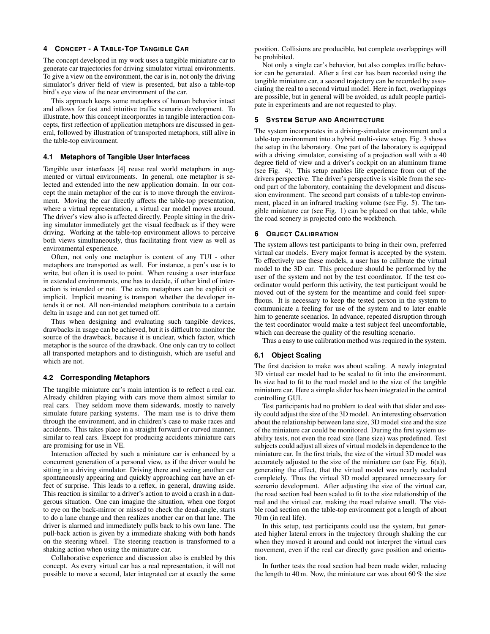# **4 CONCEPT - A TABLE-TOP TANGIBLE CAR**

The concept developed in my work uses a tangible miniature car to generate car trajectories for driving simulator virtual environments. To give a view on the environment, the car is in, not only the driving simulator's driver field of view is presented, but also a table-top bird's eye view of the near environment of the car.

This approach keeps some metaphors of human behavior intact and allows for fast and intuitive traffic scenario development. To illustrate, how this concept incorporates in tangible interaction concepts, first reflection of application metaphors are discussed in general, followed by illustration of transported metaphors, still alive in the table-top environment.

# **4.1 Metaphors of Tangible User Interfaces**

Tangible user interfaces [4] reuse real world metaphors in augmented or virtual environments. In general, one metaphor is selected and extended into the new application domain. In our concept the main metaphor of the car is to move through the environment. Moving the car directly affects the table-top presentation, where a virtual representation, a virtual car model moves around. The driver's view also is affected directly. People sitting in the driving simulator immediately get the visual feedback as if they were driving. Working at the table-top environment allows to perceive both views simultaneously, thus facilitating front view as well as environmental experience.

Often, not only one metaphor is content of any TUI - other metaphors are transported as well. For instance, a pen's use is to write, but often it is used to point. When reusing a user interface in extended environments, one has to decide, if other kind of interaction is intended or not. The extra metaphors can be explicit or implicit. Implicit meaning is transport whether the developer intends it or not. All non-intended metaphors contribute to a certain delta in usage and can not get turned off.

Thus when designing and evaluating such tangible devices, drawbacks in usage can be achieved, but it is difficult to monitor the source of the drawback, because it is unclear, which factor, which metaphor is the source of the drawback. One only can try to collect all transported metaphors and to distinguish, which are useful and which are not.

## **4.2 Corresponding Metaphors**

The tangible miniature car's main intention is to reflect a real car. Already children playing with cars move them almost similar to real cars. They seldom move them sidewards, mostly to naively simulate future parking systems. The main use is to drive them through the environment, and in children's case to make races and accidents. This takes place in a straight forward or curved manner, similar to real cars. Except for producing accidents miniature cars are promising for use in VE.

Interaction affected by such a miniature car is enhanced by a concurrent generation of a personal view, as if the driver would be sitting in a driving simulator. Driving there and seeing another car spontaneously appearing and quickly approaching can have an effect of surprise. This leads to a reflex, in general, drawing aside. This reaction is similar to a driver's action to avoid a crash in a dangerous situation. One can imagine the situation, when one forgot to eye on the back-mirror or missed to check the dead-angle, starts to do a lane change and then realizes another car on that lane. The driver is alarmed and immediately pulls back to his own lane. The pull-back action is given by a immediate shaking with both hands on the steering wheel. The steering reaction is transformed to a shaking action when using the miniature car.

Collaborative experience and discussion also is enabled by this concept. As every virtual car has a real representation, it will not possible to move a second, later integrated car at exactly the same position. Collisions are producible, but complete overlappings will be prohibited.

Not only a single car's behavior, but also complex traffic behavior can be generated. After a first car has been recorded using the tangible miniature car, a second trajectory can be recorded by associating the real to a second virtual model. Here in fact, overlappings are possible, but in general will be avoided, as adult people participate in experiments and are not requested to play.

#### **5 SYSTEM SETUP AND ARCHITECTURE**

The system incorporates in a driving-simulator environment and a table-top environment into a hybrid multi-view setup. Fig. 3 shows the setup in the laboratory. One part of the laboratory is equipped with a driving simulator, consisting of a projection wall with a 40 degree field of view and a driver's cockpit on an aluminum frame (see Fig. 4). This setup enables life experience from out of the drivers perspective. The driver's perspective is visible from the second part of the laboratory, containing the development and discussion environment. The second part consists of a table-top environment, placed in an infrared tracking volume (see Fig. 5). The tangible miniature car (see Fig. 1) can be placed on that table, while the road scenery is projected onto the workbench.

#### **6 OBJECT CALIBRATION**

The system allows test participants to bring in their own, preferred virtual car models. Every major format is accepted by the system. To effectively use these models, a user has to calibrate the virtual model to the 3D car. This procedure should be performed by the user of the system and not by the test coordinator. If the test coordinator would perform this activity, the test participant would be moved out of the system for the meantime and could feel superfluous. It is necessary to keep the tested person in the system to communicate a feeling for use of the system and to later enable him to generate scenarios. In advance, repeated disruption through the test coordinator would make a test subject feel uncomfortable, which can decrease the quality of the resulting scenario.

Thus a easy to use calibration method was required in the system.

# **6.1 Object Scaling**

The first decision to make was about scaling. A newly integrated 3D virtual car model had to be scaled to fit into the environment. Its size had to fit to the road model and to the size of the tangible miniature car. Here a simple slider has been integrated in the central controlling GUI.

Test participants had no problem to deal with that slider and easily could adjust the size of the 3D model. An interesting observation about the relationship between lane size, 3D model size and the size of the miniature car could be monitored. During the first system usability tests, not even the road size (lane size) was predefined. Test subjects could adjust all sizes of virtual models in dependence to the miniature car. In the first trials, the size of the virtual 3D model was accurately adjusted to the size of the miniature car (see Fig. 6(a)), generating the effect, that the virtual model was nearly occluded completely. Thus the virtual 3D model appeared unnecessary for scenario development. After adjusting the size of the virtual car, the road section had been scaled to fit to the size relationship of the real and the virtual car, making the road relative small. The visible road section on the table-top environment got a length of about 70 m (in real life).

In this setup, test participants could use the system, but generated higher lateral errors in the trajectory through shaking the car when they moved it around and could not interpret the virtual cars movement, even if the real car directly gave position and orientation.

In further tests the road section had been made wider, reducing the length to 40 m. Now, the miniature car was about 60  $\%$  the size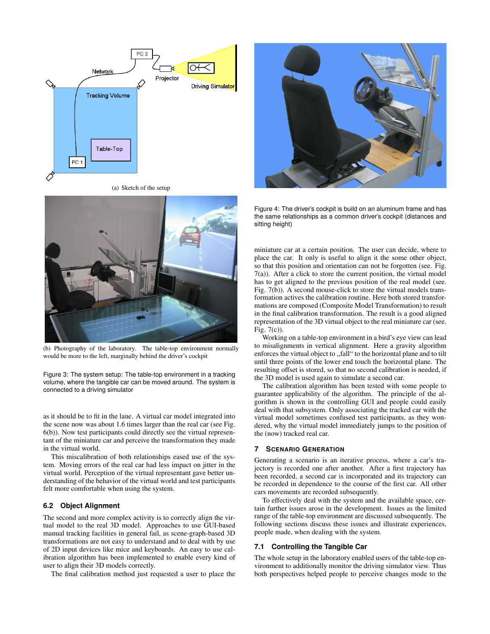

(a) Sketch of the setup



(b) Photography of the laboratory. The table-top environment normally would be more to the left, marginally behind the driver's cockpit

Figure 3: The system setup: The table-top environment in a tracking volume, where the tangible car can be moved around. The system is connected to a driving simulator

as it should be to fit in the lane. A virtual car model integrated into the scene now was about 1.6 times larger than the real car (see Fig. 6(b)). Now test participants could directly see the virtual representant of the miniature car and perceive the transformation they made in the virtual world.

This miscalibration of both relationships eased use of the system. Moving errors of the real car had less impact on jitter in the virtual world. Perception of the virtual representant gave better understanding of the behavior of the virtual world and test participants felt more comfortable when using the system.

# **6.2 Object Alignment**

The second and more complex activity is to correctly align the virtual model to the real 3D model. Approaches to use GUI-based manual tracking facilities in general fail, as scene-graph-based 3D transformations are not easy to understand and to deal with by use of 2D input devices like mice and keyboards. An easy to use calibration algorithm has been implemented to enable every kind of user to align their 3D models correctly.

The final calibration method just requested a user to place the



Figure 4: The driver's cockpit is build on an aluminum frame and has the same relationships as a common driver's cockpit (distances and sitting height)

miniature car at a certain position. The user can decide, where to place the car. It only is useful to align it the some other object, so that this position and orientation can not be forgotten (see. Fig. 7(a)). After a click to store the current position, the virtual model has to get aligned to the previous position of the real model (see. Fig. 7(b)). A second mouse-click to store the virtual models transformation actives the calibration routine. Here both stored transformations are composed (Composite Model Transformation) to result in the final calibration transformation. The result is a good aligned representation of the 3D virtual object to the real miniature car (see. Fig. 7(c)).

Working on a table-top environment in a bird's eye view can lead to misalignments in vertical alignment. Here a gravity algorithm enforces the virtual object to ,,fall" to the horizontal plane and to tilt until three points of the lower end touch the horizontal plane. The resulting offset is stored, so that no second calibration is needed, if the 3D model is used again to simulate a second car.

The calibration algorithm has been tested with some people to guarantee applicability of the algorithm. The principle of the algorithm is shown in the controlling GUI and people could easily deal with that subsystem. Only associating the tracked car with the virtual model sometimes confused test participants, as they wondered, why the virtual model immediately jumps to the position of the (now) tracked real car.

#### **7 SCENARIO GENERATION**

Generating a scenario is an iterative process, where a car's trajectory is recorded one after another. After a first trajectory has been recorded, a second car is incorporated and its trajectory can be recorded in dependence to the course of the first car. All other cars movements are recorded subsequently.

To effectively deal with the system and the available space, certain further issues arose in the development. Issues as the limited range of the table-top environment are discussed subsequently. The following sections discuss these issues and illustrate experiences, people made, when dealing with the system.

#### **7.1 Controlling the Tangible Car**

The whole setup in the laboratory enabled users of the table-top environment to additionally monitor the driving simulator view. Thus both perspectives helped people to perceive changes mode to the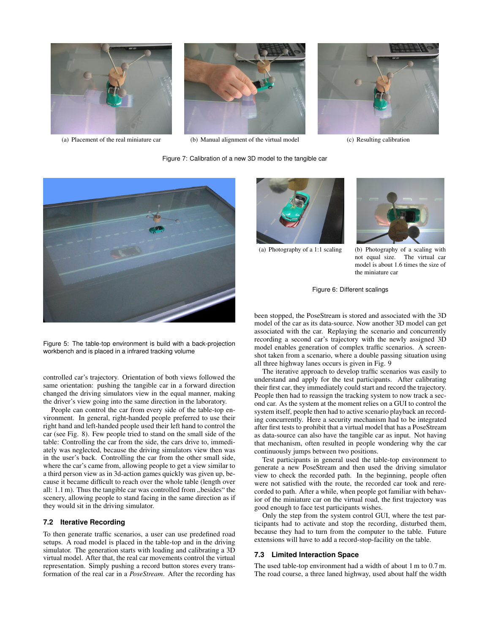



(a) Placement of the real miniature car (b) Manual alignment of the virtual model (c) Resulting calibration



# Figure 7: Calibration of a new 3D model to the tangible car



Figure 5: The table-top environment is build with a back-projection workbench and is placed in a infrared tracking volume

controlled car's trajectory. Orientation of both views followed the same orientation: pushing the tangible car in a forward direction changed the driving simulators view in the equal manner, making the driver's view going into the same direction in the laboratory.

People can control the car from every side of the table-top environment. In general, right-handed people preferred to use their right hand and left-handed people used their left hand to control the car (see Fig. 8). Few people tried to stand on the small side of the table: Controlling the car from the side, the cars drive to, immediately was neglected, because the driving simulators view then was in the user's back. Controlling the car from the other small side, where the car's came from, allowing people to get a view similar to a third person view as in 3d-action games quickly was given up, because it became difficult to reach over the whole table (length over all: 1.1 m). Thus the tangible car was controlled from ,,besides" the scenery, allowing people to stand facing in the same direction as if they would sit in the driving simulator.

# **7.2 Iterative Recording**

To then generate traffic scenarios, a user can use predefined road setups. A road model is placed in the table-top and in the driving simulator. The generation starts with loading and calibrating a 3D virtual model. After that, the real car movements control the virtual representation. Simply pushing a record button stores every transformation of the real car in a *PoseStream*. After the recording has





(a) Photography of a 1:1 scaling (b) Photography of a scaling with not equal size. The virtual car model is about 1.6 times the size of the miniature car

Figure 6: Different scalings

been stopped, the PoseStream is stored and associated with the 3D model of the car as its data-source. Now another 3D model can get associated with the car. Replaying the scenario and concurrently recording a second car's trajectory with the newly assigned 3D model enables generation of complex traffic scenarios. A screenshot taken from a scenario, where a double passing situation using all three highway lanes occurs is given in Fig. 9

The iterative approach to develop traffic scenarios was easily to understand and apply for the test participants. After calibrating their first car, they immediately could start and record the trajectory. People then had to reassign the tracking system to now track a second car. As the system at the moment relies on a GUI to control the system itself, people then had to active scenario playback an recording concurrently. Here a security mechanism had to be integrated after first tests to prohibit that a virtual model that has a PoseStream as data-source can also have the tangible car as input. Not having that mechanism, often resulted in people wondering why the car continuously jumps between two positions.

Test participants in general used the table-top environment to generate a new PoseStream and then used the driving simulator view to check the recorded path. In the beginning, people often were not satisfied with the route, the recorded car took and rerecorded to path. After a while, when people got familiar with behavior of the miniature car on the virtual road, the first trajectory was good enough to face test participants wishes.

Only the step from the system control GUI, where the test participants had to activate and stop the recording, disturbed them, because they had to turn from the computer to the table. Future extensions will have to add a record-stop-facility on the table.

# **7.3 Limited Interaction Space**

The used table-top environment had a width of about 1 m to 0.7 m. The road course, a three laned highway, used about half the width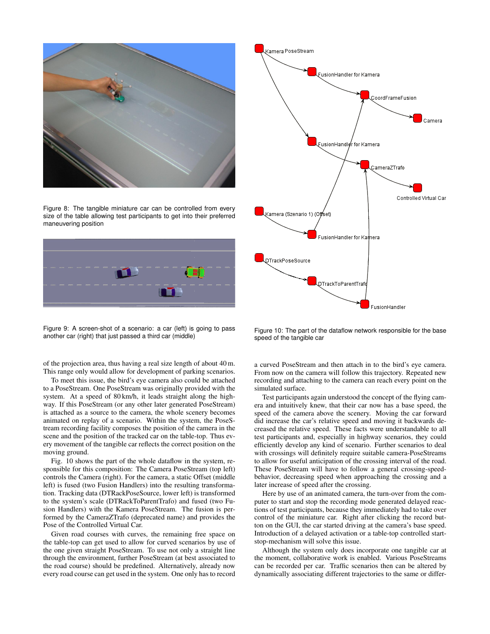

Figure 8: The tangible miniature car can be controlled from every size of the table allowing test participants to get into their preferred maneuvering position



Figure 9: A screen-shot of a scenario: a car (left) is going to pass another car (right) that just passed a third car (middle)

of the projection area, thus having a real size length of about 40 m. This range only would allow for development of parking scenarios.

To meet this issue, the bird's eye camera also could be attached to a PoseStream. One PoseStream was originally provided with the system. At a speed of 80 km/h, it leads straight along the highway. If this PoseStream (or any other later generated PoseStream) is attached as a source to the camera, the whole scenery becomes animated on replay of a scenario. Within the system, the PoseStream recording facility composes the position of the camera in the scene and the position of the tracked car on the table-top. Thus every movement of the tangible car reflects the correct position on the moving ground.

Fig. 10 shows the part of the whole dataflow in the system, responsible for this composition: The Camera PoseStream (top left) controls the Camera (right). For the camera, a static Offset (middle left) is fused (two Fusion Handlers) into the resulting transformation. Tracking data (DTRackPoseSource, lower left) is transformed to the system's scale (DTRackToParentTrafo) and fused (two Fusion Handlers) with the Kamera PoseStream. The fusion is performed by the CameraZTrafo (deprecated name) and provides the Pose of the Controlled Virtual Car.

Given road courses with curves, the remaining free space on the table-top can get used to allow for curved scenarios by use of the one given straight PoseStream. To use not only a straight line through the environment, further PoseStream (at best associated to the road course) should be predefined. Alternatively, already now every road course can get used in the system. One only has to record



Figure 10: The part of the dataflow network responsible for the base speed of the tangible car

a curved PoseStream and then attach in to the bird's eye camera. From now on the camera will follow this trajectory. Repeated new recording and attaching to the camera can reach every point on the simulated surface.

Test participants again understood the concept of the flying camera and intuitively knew, that their car now has a base speed, the speed of the camera above the scenery. Moving the car forward did increase the car's relative speed and moving it backwards decreased the relative speed. These facts were understandable to all test participants and, especially in highway scenarios, they could efficiently develop any kind of scenario. Further scenarios to deal with crossings will definitely require suitable camera-PoseStreams to allow for useful anticipation of the crossing interval of the road. These PoseStream will have to follow a general crossing-speedbehavior, decreasing speed when approaching the crossing and a later increase of speed after the crossing.

Here by use of an animated camera, the turn-over from the computer to start and stop the recording mode generated delayed reactions of test participants, because they immediately had to take over control of the miniature car. Right after clicking the record button on the GUI, the car started driving at the camera's base speed. Introduction of a delayed activation or a table-top controlled startstop-mechanism will solve this issue.

Although the system only does incorporate one tangible car at the moment, collaborative work is enabled. Various PoseStreams can be recorded per car. Traffic scenarios then can be altered by dynamically associating different trajectories to the same or differ